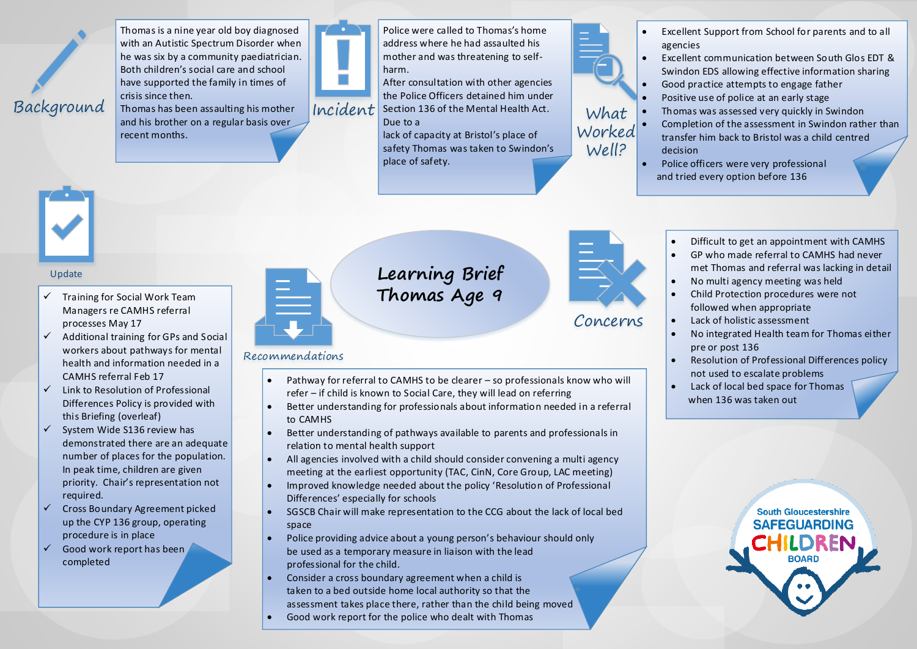

Thomas is a nine year old boy diagnosed with an Autistic Spectrum Disorder when he was six by a community paediatrician. Both children's social care and school have supported the family in times of crisis since then.

Thomas has been assaulting his mother and his brother on a regular basis over recent months.



Police were called to Thomas's home address where he had assaulted his mother and was threatening to selfharm.

After consultation with other agencies the Police Officers detained him under  $Incident$  Section 136 of the Mental Health Act. What

Due to a

lack of capacity at Bristol's place of safety Thomas was taken to Swindon's place of safety.



Well?

- Excellent Support from School for parents and to all agencies
- Excellent communication between South Glos EDT & Swindon EDS allowing effective information sharing
- Good practice attempts to engage father
- Positive use of police at an early stage
- Thomas was assessed very quickly in Swindon
- Completion of the assessment in Swindon rather than transfer him back to Bristol was a child centred decision Ó
- Police officers were very professional and tried every option before 136



### Update

- $\checkmark$  Training for Social Work Team Managers re CAMHS referral processes May 17
- $\checkmark$  Additional training for GPs and Social workers about pathways for mental health and information needed in a CAMHS referral Feb 17
- $\checkmark$  Link to Resolution of Professional Differences Policy is provided with this Briefing (overleaf)
- $\checkmark$  System Wide S136 review has demonstrated there are an adequate number of places for the population. In peak time, children are given priority. Chair's representation not required.
- $\checkmark$  Cross Boundary Agreement picked up the CYP 136 group, operating procedure is in place
- $\checkmark$  Good work report has been completed

## **Learning Brief Thomas Age 9**



Concerns

Ų

- Difficult to get an appointment with CAMHS
- GP who made referral to CAMHS had never met Thomas and referral was lacking in detail
- No multi agency meeting was held
- Child Protection procedures were not followed when appropriate
- Lack of holistic assessment
- No integrated Health team for Thomas either pre or post 136
- Resolution of Professional Differences policy not used to escalate problems
- Lack of local bed space for Thomas when 136 was taken out



### Recommendations

- Pathway for referral to CAMHS to be clearer so professionals know who will refer – if child is known to Social Care, they will lead on referring
- Better understanding for professionals about information needed in a referral to CAMHS
- Better understanding of pathways available to parents and professionals in relation to mental health support
- All agencies involved with a child should consider convening a multi agency meeting at the earliest opportunity (TAC, CinN, Core Group, LAC meeting)
- Improved knowledge needed about the policy 'Resolution of Professional Differences' especially for schools
- SGSCB Chair will make representation to the CCG about the lack of local bed space
- Police providing advice about a young person's behaviour should only be used as a temporary measure in liaison with the lead professional for the child.
- Consider a cross boundary agreement when a child is taken to a bed outside home local authority so that the assessment takes place there, rather than the child being moved
- Good work report for the police who dealt with Thomas